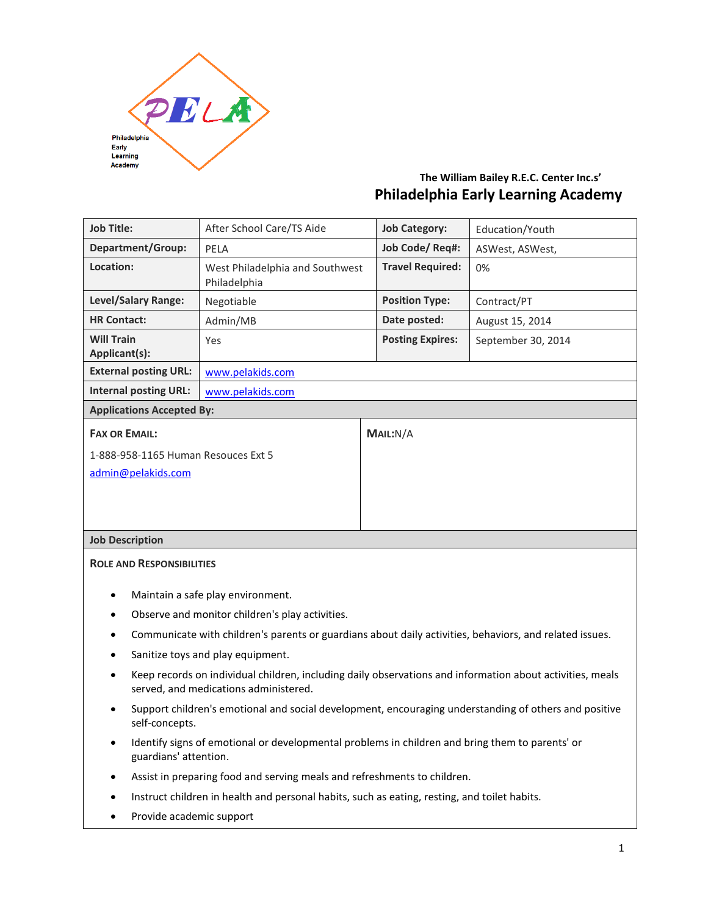

# **The William Bailey R.E.C. Center Inc.s' Philadelphia Early Learning Academy**

| <b>Job Title:</b>                                                                                                                                               | After School Care/TS Aide                                                                    | <b>Job Category:</b>    | Education/Youth    |  |
|-----------------------------------------------------------------------------------------------------------------------------------------------------------------|----------------------------------------------------------------------------------------------|-------------------------|--------------------|--|
| <b>Department/Group:</b>                                                                                                                                        | PELA                                                                                         | Job Code/Req#:          | ASWest, ASWest,    |  |
| Location:                                                                                                                                                       | West Philadelphia and Southwest<br>Philadelphia                                              | <b>Travel Required:</b> | 0%                 |  |
| Level/Salary Range:                                                                                                                                             | Negotiable                                                                                   | <b>Position Type:</b>   | Contract/PT        |  |
| <b>HR Contact:</b>                                                                                                                                              | Admin/MB                                                                                     | Date posted:            | August 15, 2014    |  |
| <b>Will Train</b><br>Applicant(s):                                                                                                                              | Yes                                                                                          | <b>Posting Expires:</b> | September 30, 2014 |  |
| <b>External posting URL:</b>                                                                                                                                    | www.pelakids.com                                                                             |                         |                    |  |
| <b>Internal posting URL:</b>                                                                                                                                    | www.pelakids.com                                                                             |                         |                    |  |
| <b>Applications Accepted By:</b>                                                                                                                                |                                                                                              |                         |                    |  |
| <b>FAX OR EMAIL:</b>                                                                                                                                            |                                                                                              | MAIL:N/A                |                    |  |
| 1-888-958-1165 Human Resouces Ext 5                                                                                                                             |                                                                                              |                         |                    |  |
| admin@pelakids.com                                                                                                                                              |                                                                                              |                         |                    |  |
|                                                                                                                                                                 |                                                                                              |                         |                    |  |
|                                                                                                                                                                 |                                                                                              |                         |                    |  |
| <b>Job Description</b>                                                                                                                                          |                                                                                              |                         |                    |  |
| <b>ROLE AND RESPONSIBILITIES</b>                                                                                                                                |                                                                                              |                         |                    |  |
|                                                                                                                                                                 |                                                                                              |                         |                    |  |
| Maintain a safe play environment.<br>$\bullet$                                                                                                                  |                                                                                              |                         |                    |  |
| Observe and monitor children's play activities.<br>$\bullet$                                                                                                    |                                                                                              |                         |                    |  |
| Communicate with children's parents or guardians about daily activities, behaviors, and related issues.<br>$\bullet$                                            |                                                                                              |                         |                    |  |
| Sanitize toys and play equipment.                                                                                                                               |                                                                                              |                         |                    |  |
| Keep records on individual children, including daily observations and information about activities, meals<br>$\bullet$<br>served, and medications administered. |                                                                                              |                         |                    |  |
| Support children's emotional and social development, encouraging understanding of others and positive<br>$\bullet$<br>self-concepts.                            |                                                                                              |                         |                    |  |
| Identify signs of emotional or developmental problems in children and bring them to parents' or<br>$\bullet$<br>guardians' attention.                           |                                                                                              |                         |                    |  |
|                                                                                                                                                                 | Assist in preparing food and serving meals and refreshments to children.                     |                         |                    |  |
|                                                                                                                                                                 | Instruct children in health and personal habits, such as eating, resting, and toilet habits. |                         |                    |  |
|                                                                                                                                                                 |                                                                                              |                         |                    |  |

Provide academic support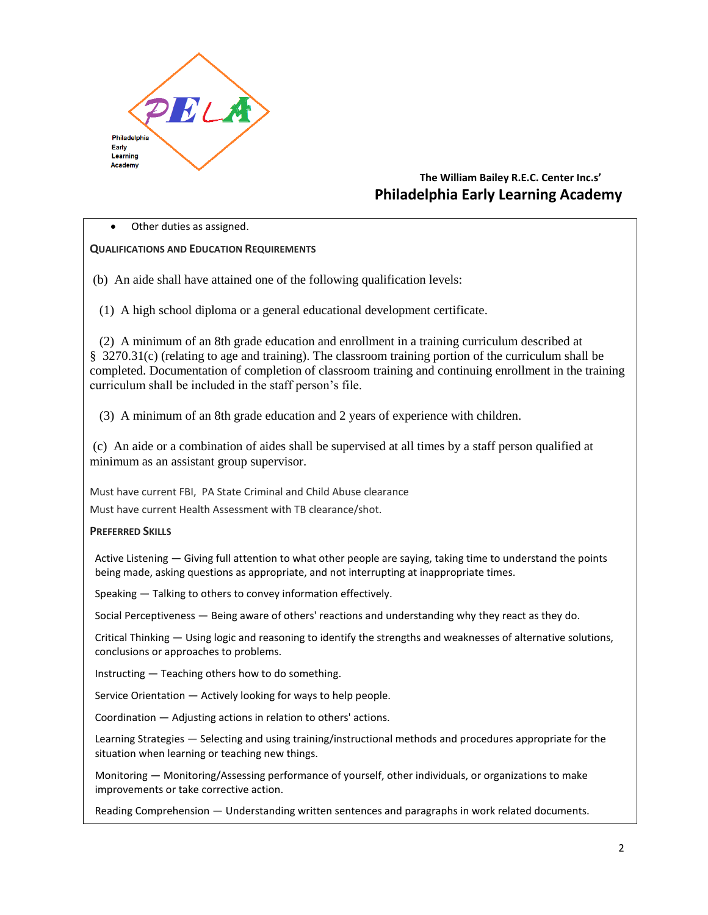

## **The William Bailey R.E.C. Center Inc.s' Philadelphia Early Learning Academy**

Other duties as assigned.

#### **QUALIFICATIONS AND EDUCATION REQUIREMENTS**

(b) An aide shall have attained one of the following qualification levels:

(1) A high school diploma or a general educational development certificate.

 (2) A minimum of an 8th grade education and enrollment in a training curriculum described at § 3270.31(c) (relating to age and training). The classroom training portion of the curriculum shall be completed. Documentation of completion of classroom training and continuing enrollment in the training curriculum shall be included in the staff person's file.

(3) A minimum of an 8th grade education and 2 years of experience with children.

(c) An aide or a combination of aides shall be supervised at all times by a staff person qualified at minimum as an assistant group supervisor.

Must have current FBI, PA State Criminal and Child Abuse clearance Must have current Health Assessment with TB clearance/shot.

#### **PREFERRED SKILLS**

Active Listening — Giving full attention to what other people are saying, taking time to understand the points being made, asking questions as appropriate, and not interrupting at inappropriate times.

Speaking — Talking to others to convey information effectively.

Social Perceptiveness — Being aware of others' reactions and understanding why they react as they do.

Critical Thinking — Using logic and reasoning to identify the strengths and weaknesses of alternative solutions, conclusions or approaches to problems.

Instructing — Teaching others how to do something.

Service Orientation — Actively looking for ways to help people.

Coordination — Adjusting actions in relation to others' actions.

Learning Strategies — Selecting and using training/instructional methods and procedures appropriate for the situation when learning or teaching new things.

Monitoring — Monitoring/Assessing performance of yourself, other individuals, or organizations to make improvements or take corrective action.

Reading Comprehension — Understanding written sentences and paragraphs in work related documents.